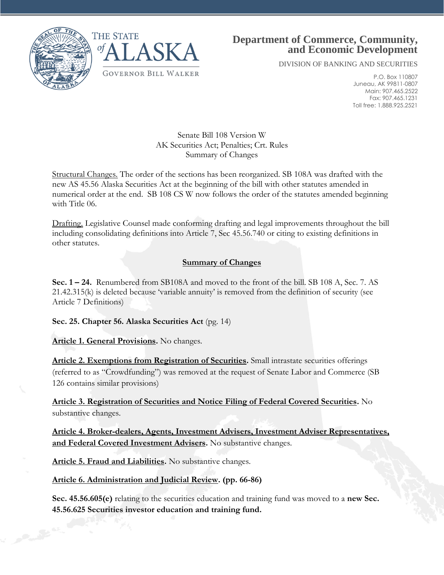



# **Department of Commerce, Community, and Economic Development**

DIVISION OF BANKING AND SECURITIES

P.O. Box 110807 Juneau, AK 99811-0807 Main: 907.465.2522 Fax: 907.465.1231 Toll free: 1.888.925.2521

#### Senate Bill 108 Version W AK Securities Act; Penalties; Crt. Rules Summary of Changes

Structural Changes. The order of the sections has been reorganized. SB 108A was drafted with the new AS 45.56 Alaska Securities Act at the beginning of the bill with other statutes amended in numerical order at the end. SB 108 CS W now follows the order of the statutes amended beginning with Title 06.

Drafting. Legislative Counsel made conforming drafting and legal improvements throughout the bill including consolidating definitions into Article 7, Sec 45.56.740 or citing to existing definitions in other statutes.

# **Summary of Changes**

**Sec. 1 – 24.** Renumbered from SB108A and moved to the front of the bill. SB 108 A, Sec. 7. AS 21.42.315(k) is deleted because 'variable annuity' is removed from the definition of security (see Article 7 Definitions)

**Sec. 25. Chapter 56. Alaska Securities Act** (pg. 14)

**Article 1. General Provisions.** No changes.

**Article 2. Exemptions from Registration of Securities.** Small intrastate securities offerings (referred to as "Crowdfunding") was removed at the request of Senate Labor and Commerce (SB 126 contains similar provisions)

**Article 3. Registration of Securities and Notice Filing of Federal Covered Securities.** No substantive changes.

**Article 4. Broker-dealers, Agents, Investment Advisers, Investment Adviser Representatives, and Federal Covered Investment Advisers.** No substantive changes.

**Article 5. Fraud and Liabilities.** No substantive changes.

# **Article 6. Administration and Judicial Review. (pp. 66-86)**

**Sec. 45.56.605(e)** relating to the securities education and training fund was moved to a **new Sec. 45.56.625 Securities investor education and training fund.**